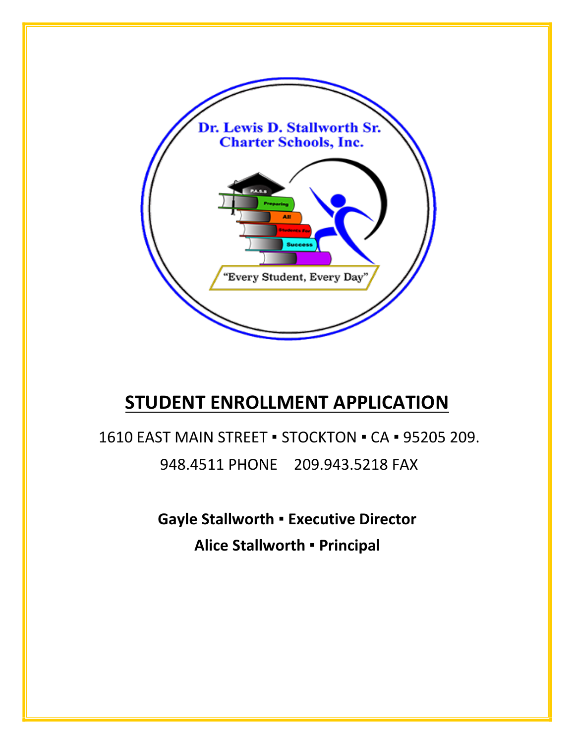

# **STUDENT ENROLLMENT APPLICATION**

1610 EAST MAIN STREET ▪ STOCKTON ▪ CA ▪ 95205 209. 948.4511 PHONE 209.943.5218 FAX

> **Gayle Stallworth** ▪ **Executive Director Alice Stallworth** ▪ **Principal**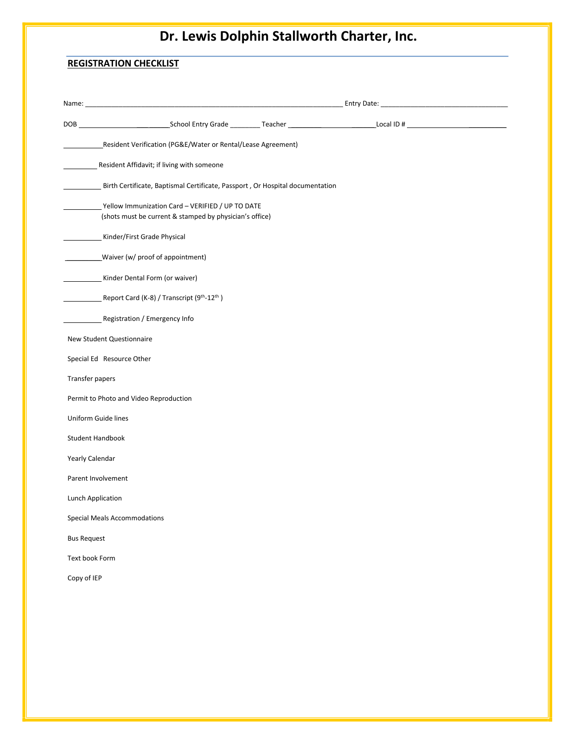## **REGISTRATION CHECKLIST**

| Resident Verification (PG&E/Water or Rental/Lease Agreement)                                                  |  |
|---------------------------------------------------------------------------------------------------------------|--|
| Resident Affidavit; if living with someone                                                                    |  |
| Birth Certificate, Baptismal Certificate, Passport, Or Hospital documentation                                 |  |
| _ Yellow Immunization Card - VERIFIED / UP TO DATE<br>(shots must be current & stamped by physician's office) |  |
| Kinder/First Grade Physical                                                                                   |  |
| Waiver (w/ proof of appointment)                                                                              |  |
| Kinder Dental Form (or waiver)                                                                                |  |
| Report Card (K-8) / Transcript (9th-12th)                                                                     |  |
| Registration / Emergency Info                                                                                 |  |
| New Student Questionnaire                                                                                     |  |
| Special Ed Resource Other                                                                                     |  |
| Transfer papers                                                                                               |  |
| Permit to Photo and Video Reproduction                                                                        |  |
| Uniform Guide lines                                                                                           |  |
| Student Handbook                                                                                              |  |
| Yearly Calendar                                                                                               |  |
| Parent Involvement                                                                                            |  |
| Lunch Application                                                                                             |  |
| <b>Special Meals Accommodations</b>                                                                           |  |
| <b>Bus Request</b>                                                                                            |  |
| Text book Form                                                                                                |  |
| Copy of IEP                                                                                                   |  |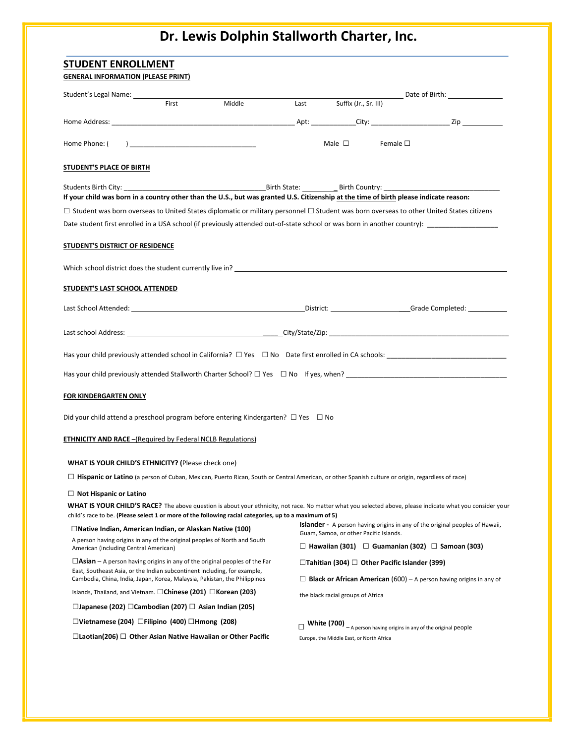| <b>STUDENT ENROLLMENT</b><br><b>GENERAL INFORMATION (PLEASE PRINT)</b>                                                                                                                                                                    |       |                                                                                                                                                         |        |                                          |                                                           |                                                                                                                                                            |
|-------------------------------------------------------------------------------------------------------------------------------------------------------------------------------------------------------------------------------------------|-------|---------------------------------------------------------------------------------------------------------------------------------------------------------|--------|------------------------------------------|-----------------------------------------------------------|------------------------------------------------------------------------------------------------------------------------------------------------------------|
| Student's Legal Name: ___________                                                                                                                                                                                                         |       |                                                                                                                                                         |        |                                          |                                                           |                                                                                                                                                            |
|                                                                                                                                                                                                                                           | First | Middle                                                                                                                                                  |        | Last Suffix (Jr., Sr. III)               |                                                           |                                                                                                                                                            |
|                                                                                                                                                                                                                                           |       |                                                                                                                                                         |        |                                          |                                                           |                                                                                                                                                            |
| Home Phone: (                                                                                                                                                                                                                             |       |                                                                                                                                                         |        | Male $\Box$                              | Female $\Box$                                             |                                                                                                                                                            |
| <b>STUDENT'S PLACE OF BIRTH</b>                                                                                                                                                                                                           |       |                                                                                                                                                         |        |                                          |                                                           |                                                                                                                                                            |
| If your child was born in a country other than the U.S., but was granted U.S. Citizenship at the time of birth please indicate reason:                                                                                                    |       | $\Box$ Student was born overseas to United States diplomatic or military personnel $\Box$ Student was born overseas to other United States citizens     |        |                                          |                                                           | Date student first enrolled in a USA school (if previously attended out-of-state school or was born in another country):                                   |
| STUDENT'S DISTRICT OF RESIDENCE                                                                                                                                                                                                           |       |                                                                                                                                                         |        |                                          |                                                           |                                                                                                                                                            |
|                                                                                                                                                                                                                                           |       | Which school district does the student currently live in? The material control of the students of the student of the student currently live in?         |        |                                          |                                                           |                                                                                                                                                            |
| STUDENT'S LAST SCHOOL ATTENDED                                                                                                                                                                                                            |       |                                                                                                                                                         |        |                                          |                                                           |                                                                                                                                                            |
|                                                                                                                                                                                                                                           |       |                                                                                                                                                         |        |                                          |                                                           |                                                                                                                                                            |
|                                                                                                                                                                                                                                           |       |                                                                                                                                                         |        |                                          |                                                           |                                                                                                                                                            |
|                                                                                                                                                                                                                                           |       |                                                                                                                                                         |        |                                          |                                                           |                                                                                                                                                            |
|                                                                                                                                                                                                                                           |       |                                                                                                                                                         |        |                                          |                                                           |                                                                                                                                                            |
| FOR KINDERGARTEN ONLY                                                                                                                                                                                                                     |       |                                                                                                                                                         |        |                                          |                                                           |                                                                                                                                                            |
|                                                                                                                                                                                                                                           |       | Did your child attend a preschool program before entering Kindergarten? $\Box$ Yes $\Box$ No                                                            |        |                                          |                                                           |                                                                                                                                                            |
| <b>ETHNICITY AND RACE</b> - (Required by Federal NCLB Regulations)                                                                                                                                                                        |       |                                                                                                                                                         |        |                                          |                                                           |                                                                                                                                                            |
| <b>WHAT IS YOUR CHILD'S ETHNICITY?</b> (Please check one)                                                                                                                                                                                 |       |                                                                                                                                                         |        |                                          |                                                           |                                                                                                                                                            |
|                                                                                                                                                                                                                                           |       | $\Box$ Hispanic or Latino (a person of Cuban, Mexican, Puerto Rican, South or Central American, or other Spanish culture or origin, regardless of race) |        |                                          |                                                           |                                                                                                                                                            |
| $\Box$ Not Hispanic or Latino                                                                                                                                                                                                             |       | child's race to be. (Please select 1 or more of the following racial categories, up to a maximum of 5)                                                  |        |                                          |                                                           | WHAT IS YOUR CHILD'S RACE? The above question is about your ethnicity, not race. No matter what you selected above, please indicate what you consider your |
| $\Box$ Native Indian, American Indian, or Alaskan Native (100)                                                                                                                                                                            |       |                                                                                                                                                         |        |                                          |                                                           | <b>Islander</b> - A person having origins in any of the original peoples of Hawaii,                                                                        |
| A person having origins in any of the original peoples of North and South<br>American (including Central American)                                                                                                                        |       |                                                                                                                                                         |        |                                          | Guam, Samoa, or other Pacific Islands.                    | □ Hawaiian (301) □ Guamanian (302) □ Samoan (303)                                                                                                          |
| $\Box$ Asian – A person having origins in any of the original peoples of the Far<br>East, Southeast Asia, or the Indian subcontinent including, for example,<br>Cambodia, China, India, Japan, Korea, Malaysia, Pakistan, the Philippines |       |                                                                                                                                                         |        |                                          | $\Box$ Tahitian (304) $\Box$ Other Pacific Islander (399) | $\Box$ <b>Black or African American</b> (600) – A person having origins in any of                                                                          |
| Islands, Thailand, and Vietnam. $\Box$ Chinese (201) $\Box$ Korean (203)                                                                                                                                                                  |       |                                                                                                                                                         |        | the black racial groups of Africa        |                                                           |                                                                                                                                                            |
| □Japanese (202) □Cambodian (207) □ Asian Indian (205)                                                                                                                                                                                     |       |                                                                                                                                                         |        |                                          |                                                           |                                                                                                                                                            |
| □Vietnamese (204) □Filipino (400) □Hmong (208)                                                                                                                                                                                            |       |                                                                                                                                                         | $\Box$ |                                          |                                                           | <b>White (700)</b> $A$ person having origins in any of the original people                                                                                 |
| $\Box$ Laotian(206) $\Box$ Other Asian Native Hawaiian or Other Pacific                                                                                                                                                                   |       |                                                                                                                                                         |        | Europe, the Middle East, or North Africa |                                                           |                                                                                                                                                            |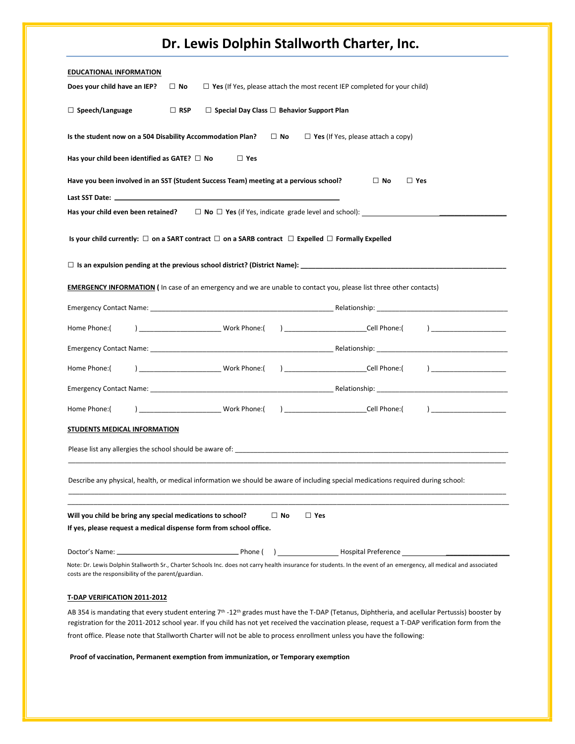|  |  |  | Dr. Lewis Dolphin Stallworth Charter, Inc. |  |  |
|--|--|--|--------------------------------------------|--|--|
|--|--|--|--------------------------------------------|--|--|

| <b>EDUCATIONAL INFORMATION</b><br>Does your child have an IEP?<br>$\Box$ No<br>$\Box$ Yes (If Yes, please attach the most recent IEP completed for your child)                                                                                                                                                             |
|----------------------------------------------------------------------------------------------------------------------------------------------------------------------------------------------------------------------------------------------------------------------------------------------------------------------------|
|                                                                                                                                                                                                                                                                                                                            |
| $\Box$ Speech/Language<br>$\Box$ RSP<br>$\Box$ Special Day Class $\Box$ Behavior Support Plan                                                                                                                                                                                                                              |
| Is the student now on a 504 Disability Accommodation Plan?<br>$\Box$ Yes (If Yes, please attach a copy)<br>$\Box$ No                                                                                                                                                                                                       |
| Has your child been identified as GATE? $\Box$ No<br>$\Box$ Yes                                                                                                                                                                                                                                                            |
| Have you been involved in an SST (Student Success Team) meeting at a pervious school?<br>$\square$ No<br>$\Box$ Yes                                                                                                                                                                                                        |
|                                                                                                                                                                                                                                                                                                                            |
| Has your child even been retained? $\square \blacksquare \blacksquare$ No $\square$ Yes (if Yes, indicate grade level and school):                                                                                                                                                                                         |
| Is your child currently: $\Box$ on a SART contract $\Box$ on a SARB contract $\Box$ Expelled $\Box$ Formally Expelled                                                                                                                                                                                                      |
|                                                                                                                                                                                                                                                                                                                            |
| <b>EMERGENCY INFORMATION</b> (In case of an emergency and we are unable to contact you, please list three other contacts)                                                                                                                                                                                                  |
| Emergency Contact Name: Name and Contact Material Contact Contact Contact Contact Contact Material Contact Contact Contact Contact Contact Contact Contact Contact Contact Contact Contact Contact Contact Contact Contact Con                                                                                             |
| Home Phone:(                                                                                                                                                                                                                                                                                                               |
|                                                                                                                                                                                                                                                                                                                            |
| Home Phone:(                                                                                                                                                                                                                                                                                                               |
|                                                                                                                                                                                                                                                                                                                            |
| Home Phone:(                                                                                                                                                                                                                                                                                                               |
| STUDENTS MEDICAL INFORMATION                                                                                                                                                                                                                                                                                               |
|                                                                                                                                                                                                                                                                                                                            |
| Describe any physical, health, or medical information we should be aware of including special medications required during school:                                                                                                                                                                                          |
| Will you child be bring any special medications to school?<br>$\Box$ No<br>$\Box$ Yes<br>If yes, please request a medical dispense form from school office.                                                                                                                                                                |
| Mospital Preference                                                                                                                                                                                                                                                                                                        |
| Note: Dr. Lewis Dolphin Stallworth Sr., Charter Schools Inc. does not carry health insurance for students. In the event of an emergency, all medical and associated<br>costs are the responsibility of the parent/guardian.                                                                                                |
| T-DAP VERIFICATION 2011-2012                                                                                                                                                                                                                                                                                               |
| AB 354 is mandating that every student entering 7 <sup>th</sup> -12 <sup>th</sup> grades must have the T-DAP (Tetanus, Diphtheria, and acellular Pertussis) booster by<br>registration for the 2011-2012 school year. If you child has not yet received the vaccination please, request a T-DAP verification form from the |

front office. Please note that Stallworth Charter will not be able to process enrollment unless you have the following:

**Proof of vaccination, Permanent exemption from immunization, or Temporary exemption**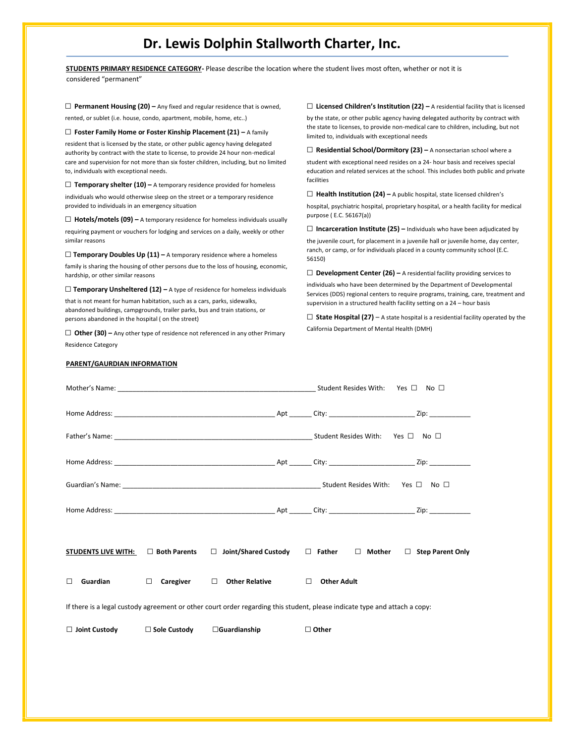| STUDENTS PRIMARY RESIDENCE CATEGORY- Please describe the location where the student lives most often, whether or not it is                                         |                                                                                                                                                                       |  |  |  |
|--------------------------------------------------------------------------------------------------------------------------------------------------------------------|-----------------------------------------------------------------------------------------------------------------------------------------------------------------------|--|--|--|
| considered "permanent"                                                                                                                                             |                                                                                                                                                                       |  |  |  |
| $\Box$ Permanent Housing (20) – Any fixed and regular residence that is owned,                                                                                     | $\Box$ Licensed Children's Institution (22) – A residential facility that is licensed                                                                                 |  |  |  |
| rented, or sublet (i.e. house, condo, apartment, mobile, home, etc)                                                                                                | by the state, or other public agency having delegated authority by contract with                                                                                      |  |  |  |
| $\Box$ Foster Family Home or Foster Kinship Placement (21) – A family                                                                                              | the state to licenses, to provide non-medical care to children, including, but not<br>limited to, individuals with exceptional needs                                  |  |  |  |
| resident that is licensed by the state, or other public agency having delegated<br>authority by contract with the state to license, to provide 24 hour non-medical | $\Box$ Residential School/Dormitory (23) – A nonsectarian school where a                                                                                              |  |  |  |
| care and supervision for not more than six foster children, including, but no limited<br>to, individuals with exceptional needs.                                   | student with exceptional need resides on a 24- hour basis and receives special<br>education and related services at the school. This includes both public and private |  |  |  |
| $\Box$ Temporary shelter (10) – A temporary residence provided for homeless                                                                                        | facilities                                                                                                                                                            |  |  |  |
| individuals who would otherwise sleep on the street or a temporary residence                                                                                       | $\Box$ Health Institution (24) - A public hospital, state licensed children's                                                                                         |  |  |  |
| provided to individuals in an emergency situation                                                                                                                  | hospital, psychiatric hospital, proprietary hospital, or a health facility for medical<br>purpose (E.C. 56167(a))                                                     |  |  |  |
| $\Box$ <b>Hotels/motels (09)</b> – A temporary residence for homeless individuals usually                                                                          | $\Box$ Incarceration Institute (25) – Individuals who have been adjudicated by                                                                                        |  |  |  |
| requiring payment or vouchers for lodging and services on a daily, weekly or other<br>similar reasons                                                              | the juvenile court, for placement in a juvenile hall or juvenile home, day center,                                                                                    |  |  |  |
| $\Box$ Temporary Doubles Up (11) – A temporary residence where a homeless                                                                                          | ranch, or camp, or for individuals placed in a county community school (E.C.<br>56150)                                                                                |  |  |  |
| family is sharing the housing of other persons due to the loss of housing, economic,<br>hardship, or other similar reasons                                         | $\Box$ Development Center (26) – A residential facility providing services to                                                                                         |  |  |  |
| $\Box$ Temporary Unsheltered (12) - A type of residence for homeless individuals                                                                                   | individuals who have been determined by the Department of Developmental<br>Services (DDS) regional centers to require programs, training, care, treatment and         |  |  |  |
| that is not meant for human habitation, such as a cars, parks, sidewalks,                                                                                          | supervision in a structured health facility setting on a 24 - hour basis                                                                                              |  |  |  |
| abandoned buildings, campgrounds, trailer parks, bus and train stations, or<br>persons abandoned in the hospital (on the street)                                   | $\Box$ State Hospital (27) – A state hospital is a residential facility operated by the                                                                               |  |  |  |
| $\Box$ Other (30) – Any other type of residence not referenced in any other Primary                                                                                | California Department of Mental Health (DMH)                                                                                                                          |  |  |  |
| <b>Residence Category</b>                                                                                                                                          |                                                                                                                                                                       |  |  |  |
| PARENT/GAURDIAN INFORMATION                                                                                                                                        |                                                                                                                                                                       |  |  |  |
|                                                                                                                                                                    |                                                                                                                                                                       |  |  |  |
|                                                                                                                                                                    |                                                                                                                                                                       |  |  |  |
|                                                                                                                                                                    |                                                                                                                                                                       |  |  |  |
|                                                                                                                                                                    |                                                                                                                                                                       |  |  |  |
|                                                                                                                                                                    |                                                                                                                                                                       |  |  |  |

| Home | שר |  |  |
|------|----|--|--|
|      |    |  |  |

| STUDENTS LIVE WITH: | $\Box$ Both Parents | □ Joint/Shared Custody           | $\Box$ Father      | $\Box$ Mother | □ Step Parent Only |
|---------------------|---------------------|----------------------------------|--------------------|---------------|--------------------|
| Guardian            | $\Box$ Caregiver    | <b>Other Relative</b><br>$\perp$ | Other Adult<br>- 1 |               |                    |

If there is a legal custody agreement or other court order regarding this student, please indicate type and attach a copy:

□ **Joint Custody** □**Sole Custody** □**Guardianship** □ **Other**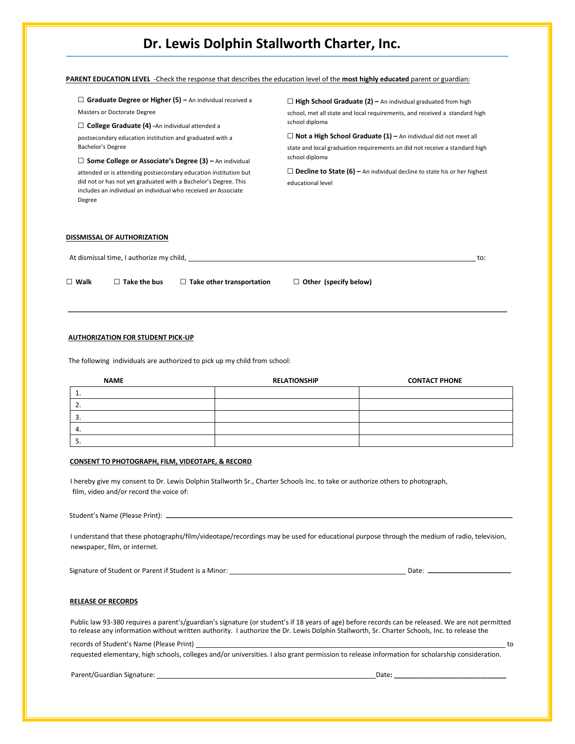| Masters or Doctorate Degree                                                                                                                 | school, met all state and local requirements, and received a standard high      |  |  |
|---------------------------------------------------------------------------------------------------------------------------------------------|---------------------------------------------------------------------------------|--|--|
|                                                                                                                                             |                                                                                 |  |  |
| $\Box$ College Graduate (4) - An individual attended a                                                                                      | school diploma                                                                  |  |  |
| postsecondary education institution and graduated with a                                                                                    | $\Box$ Not a High School Graduate (1) – An individual did not meet all          |  |  |
| Bachelor's Degree                                                                                                                           | state and local graduation requirements an did not receive a standard high      |  |  |
| $\Box$ Some College or Associate's Degree (3) – An individual                                                                               | school diploma                                                                  |  |  |
| attended or is attending postsecondary education institution but                                                                            | $\Box$ Decline to State (6) – An individual decline to state his or her highest |  |  |
| did not or has not yet graduated with a Bachelor's Degree. This<br>includes an individual an individual who received an Associate<br>Degree | educational level                                                               |  |  |

At dismissal time, I authorize my child, the contract of the contract of the contract of the contract of the contract of the contract of the contract of the contract of the contract of the contract of the contract of the c □ **Walk** □ **Take the bus** □ **Take other transportation** □ **Other (specify below)** 

#### **AUTHORIZATION FOR STUDENT PICK-UP**

The following individuals are authorized to pick up my child from school:

| <b>NAME</b> | <b>RELATIONSHIP</b> | <b>CONTACT PHONE</b> |
|-------------|---------------------|----------------------|
|             |                     |                      |
| <u>.</u>    |                     |                      |
| د           |                     |                      |
| 4.          |                     |                      |
|             |                     |                      |

#### **CONSENT TO PHOTOGRAPH, FILM, VIDEOTAPE, & RECORD**

I hereby give my consent to Dr. Lewis Dolphin Stallworth Sr., Charter Schools Inc. to take or authorize others to photograph, film, video and/or record the voice of:

Student's Name (Please Print):

I understand that these photographs/film/videotape/recordings may be used for educational purpose through the medium of radio, television, newspaper, film, or internet.

Signature of Student or Parent if Student is a Minor: Date:

#### **RELEASE OF RECORDS**

Public law 93-380 requires a parent's/guardian's signature (or student's if 18 years of age) before records can be released. We are not permitted to release any information without written authority. I authorize the Dr. Lewis Dolphin Stallworth, Sr. Charter Schools, Inc. to release the

records of Student's Name (Please Print) to

requested elementary, high schools, colleges and/or universities. I also grant permission to release information for scholarship consideration.

Parent/Guardian Signature: Date**: \_\_\_\_\_\_\_\_\_\_\_\_\_\_\_\_\_\_\_\_\_\_\_\_\_\_\_\_\_\_**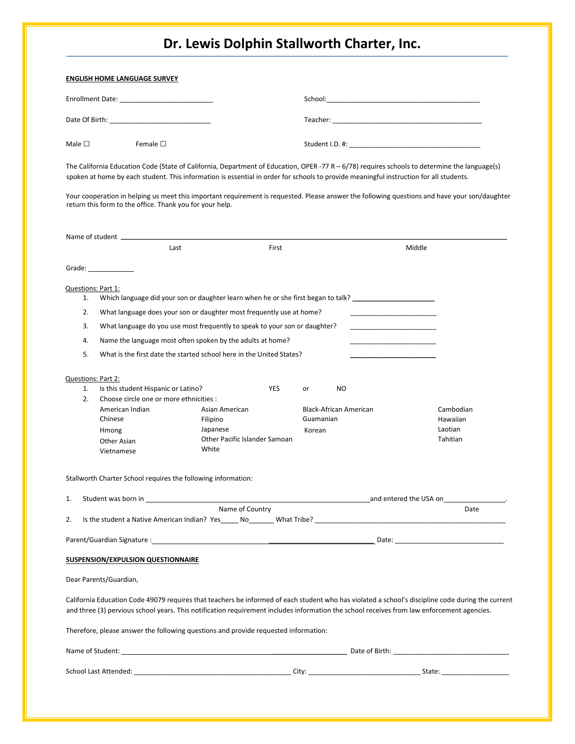|                | Date Of Birth: New York Date Of Birth:                        |                                                                                     |                                                                                                                                                                                                                                                                                                 |           |
|----------------|---------------------------------------------------------------|-------------------------------------------------------------------------------------|-------------------------------------------------------------------------------------------------------------------------------------------------------------------------------------------------------------------------------------------------------------------------------------------------|-----------|
| Male $\square$ | Female $\square$                                              |                                                                                     |                                                                                                                                                                                                                                                                                                 |           |
|                |                                                               |                                                                                     | The California Education Code (State of California, Department of Education, OPER -77 R - 6/78) requires schools to determine the language(s)<br>spoken at home by each student. This information is essential in order for schools to provide meaningful instruction for all students.         |           |
|                | return this form to the office. Thank you for your help.      |                                                                                     | Your cooperation in helping us meet this important requirement is requested. Please answer the following questions and have your son/daughter                                                                                                                                                   |           |
|                |                                                               |                                                                                     |                                                                                                                                                                                                                                                                                                 |           |
|                | Last                                                          | First                                                                               |                                                                                                                                                                                                                                                                                                 | Middle    |
|                | Grade: $\_\_$                                                 |                                                                                     |                                                                                                                                                                                                                                                                                                 |           |
| 1.             | Questions: Part 1:                                            |                                                                                     | Which language did your son or daughter learn when he or she first began to talk? ________________________                                                                                                                                                                                      |           |
| 2.             |                                                               | What language does your son or daughter most frequently use at home?                |                                                                                                                                                                                                                                                                                                 |           |
| 3.             |                                                               | What language do you use most frequently to speak to your son or daughter?          | <u> 1980 - Johann Barbara, martin a</u>                                                                                                                                                                                                                                                         |           |
| 4.             |                                                               | Name the language most often spoken by the adults at home?                          |                                                                                                                                                                                                                                                                                                 |           |
| 5.             |                                                               | What is the first date the started school here in the United States?                |                                                                                                                                                                                                                                                                                                 |           |
|                | Questions: Part 2:                                            |                                                                                     |                                                                                                                                                                                                                                                                                                 |           |
| 1.             | Is this student Hispanic or Latino?                           | <b>YES</b>                                                                          | NO.<br>or                                                                                                                                                                                                                                                                                       |           |
| 2.             | Choose circle one or more ethnicities :<br>American Indian    | Asian American                                                                      | <b>Black-African American</b>                                                                                                                                                                                                                                                                   | Cambodian |
|                | Chinese                                                       | Filipino                                                                            | Guamanian                                                                                                                                                                                                                                                                                       | Hawaiian  |
|                | Hmong                                                         | Japanese<br>Other Pacific Islander Samoan                                           | Korean                                                                                                                                                                                                                                                                                          | Laotian   |
|                | Other Asian<br>Vietnamese                                     | White                                                                               |                                                                                                                                                                                                                                                                                                 | Tahitian  |
|                | Stallworth Charter School requires the following information: |                                                                                     |                                                                                                                                                                                                                                                                                                 |           |
| 1.             |                                                               |                                                                                     |                                                                                                                                                                                                                                                                                                 |           |
| 2.             |                                                               | Name of Country                                                                     |                                                                                                                                                                                                                                                                                                 | Date      |
|                |                                                               |                                                                                     |                                                                                                                                                                                                                                                                                                 |           |
|                |                                                               |                                                                                     |                                                                                                                                                                                                                                                                                                 |           |
|                | SUSPENSION/EXPULSION QUESTIONNAIRE                            |                                                                                     |                                                                                                                                                                                                                                                                                                 |           |
|                | Dear Parents/Guardian,                                        |                                                                                     |                                                                                                                                                                                                                                                                                                 |           |
|                |                                                               |                                                                                     | California Education Code 49079 requires that teachers be informed of each student who has violated a school's discipline code during the current<br>and three (3) pervious school years. This notification requirement includes information the school receives from law enforcement agencies. |           |
|                |                                                               | Therefore, please answer the following questions and provide requested information: |                                                                                                                                                                                                                                                                                                 |           |
|                |                                                               |                                                                                     |                                                                                                                                                                                                                                                                                                 |           |
|                |                                                               |                                                                                     |                                                                                                                                                                                                                                                                                                 |           |
|                |                                                               |                                                                                     |                                                                                                                                                                                                                                                                                                 |           |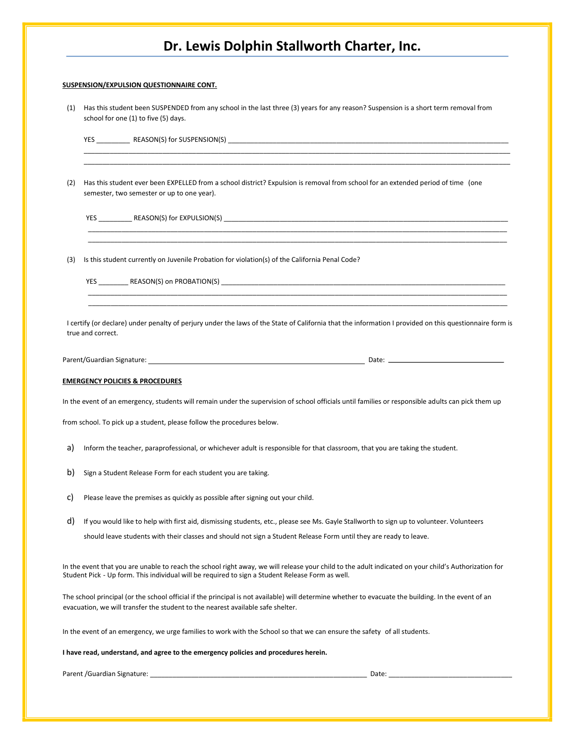#### **SUSPENSION/EXPULSION QUESTIONNAIRE CONT.**

| (1) Has this student been SUSPENDED from any school in the last three (3) years for any reason? Suspension is a short term removal from |
|-----------------------------------------------------------------------------------------------------------------------------------------|
| school for one (1) to five (5) days.                                                                                                    |

\_\_\_\_\_\_\_\_\_\_\_\_\_\_\_\_\_\_\_\_\_\_\_\_\_\_\_\_\_\_\_\_\_\_\_\_\_\_\_\_\_\_\_\_\_\_\_\_\_\_\_\_\_\_\_\_\_\_\_\_\_\_\_\_\_\_\_\_\_\_\_\_\_\_\_\_\_\_\_\_\_\_\_\_\_\_\_\_\_\_\_\_\_\_\_\_\_\_\_\_\_\_\_\_\_\_\_\_\_\_\_\_\_\_ \_\_\_\_\_\_\_\_\_\_\_\_\_\_\_\_\_\_\_\_\_\_\_\_\_\_\_\_\_\_\_\_\_\_\_\_\_\_\_\_\_\_\_\_\_\_\_\_\_\_\_\_\_\_\_\_\_\_\_\_\_\_\_\_\_\_\_\_\_\_\_\_\_\_\_\_\_\_\_\_\_\_\_\_\_\_\_\_\_\_\_\_\_\_\_\_\_\_\_\_\_\_\_\_\_\_\_\_\_\_\_\_\_\_

YES \_\_\_\_\_\_\_\_\_ REASON(S) for SUSPENSION(S) \_\_\_\_\_\_\_\_\_\_\_\_\_\_\_\_\_\_\_\_\_\_\_\_\_\_\_\_\_\_\_\_\_\_\_\_\_\_\_\_\_\_\_\_\_\_\_\_\_\_\_\_\_\_\_\_\_\_\_\_\_\_\_\_\_\_\_\_\_\_\_\_\_\_\_

(2) Has this student ever been EXPELLED from a school district? Expulsion is removal from school for an extended period of time (one semester, two semester or up to one year).

 $\overline{\phantom{a}}$  , and the contribution of the contribution of the contribution of the contribution of the contribution of the contribution of the contribution of the contribution of the contribution of the contribution of the \_\_\_\_\_\_\_\_\_\_\_\_\_\_\_\_\_\_\_\_\_\_\_\_\_\_\_\_\_\_\_\_\_\_\_\_\_\_\_\_\_\_\_\_\_\_\_\_\_\_\_\_\_\_\_\_\_\_\_\_\_\_\_\_\_\_\_\_\_\_\_\_\_\_\_\_\_\_\_\_\_\_\_\_\_\_\_\_\_\_\_\_\_\_\_\_\_\_\_\_\_\_\_\_\_\_\_\_\_\_\_\_

YES \_\_\_\_\_\_\_\_\_\_\_\_\_\_\_ REASON(S) for EXPULSION(S) \_\_\_\_\_\_\_\_\_\_\_\_\_\_\_\_\_\_\_\_\_\_\_\_\_\_\_\_\_\_\_\_\_

(3) Is this student currently on Juvenile Probation for violation(s) of the California Penal Code?

YES \_\_\_\_\_\_\_\_ REASON(S) on PROBATION(S) \_\_\_\_\_\_\_\_\_\_\_\_\_\_\_\_\_\_\_\_\_\_\_\_\_\_\_\_\_\_\_\_\_\_\_\_\_\_\_\_\_\_\_\_\_\_\_\_\_\_\_\_\_\_\_\_\_\_\_\_\_\_\_\_\_\_\_\_\_\_\_\_\_\_\_\_

I certify (or declare) under penalty of perjury under the laws of the State of California that the information I provided on this questionnaire form is true and correct.

 $\overline{\phantom{a}}$  , and the contribution of the contribution of the contribution of the contribution of the contribution of the contribution of the contribution of the contribution of the contribution of the contribution of the  $\overline{\phantom{a}}$  , and the contribution of the contribution of the contribution of the contribution of the contribution of the contribution of the contribution of the contribution of the contribution of the contribution of the

Pate: 2008. [2010] Date: 2008. [2010] Date: 2008. [2010] Date: 2008. [2010] Date: 2008. [2010] Date: 2008. [20

#### **EMERGENCY POLICIES & PROCEDURES**

In the event of an emergency, students will remain under the supervision of school officials until families or responsible adults can pick them up

from school. To pick up a student, please follow the procedures below.

- a) Inform the teacher, paraprofessional, or whichever adult is responsible for that classroom, that you are taking the student.
- b) Sign a Student Release Form for each student you are taking.
- c) Please leave the premises as quickly as possible after signing out your child.

d) If you would like to help with first aid, dismissing students, etc., please see Ms. Gayle Stallworth to sign up to volunteer. Volunteers should leave students with their classes and should not sign a Student Release Form until they are ready to leave.

In the event that you are unable to reach the school right away, we will release your child to the adult indicated on your child's Authorization for Student Pick - Up form. This individual will be required to sign a Student Release Form as well.

The school principal (or the school official if the principal is not available) will determine whether to evacuate the building. In the event of an evacuation, we will transfer the student to the nearest available safe shelter.

In the event of an emergency, we urge families to work with the School so that we can ensure the safety of all students.

**I have read, understand, and agree to the emergency policies and procedures herein.** 

Parent /Guardian Signature: \_\_\_\_\_\_\_\_\_\_\_\_\_\_\_\_\_\_\_\_\_\_\_\_\_\_\_\_\_\_\_\_\_\_\_\_\_\_\_\_\_\_\_\_\_\_\_\_\_\_\_\_\_\_\_\_\_\_ Date: \_\_\_\_\_\_\_\_\_\_\_\_\_\_\_\_\_\_\_\_\_\_\_\_\_\_\_\_\_\_\_\_\_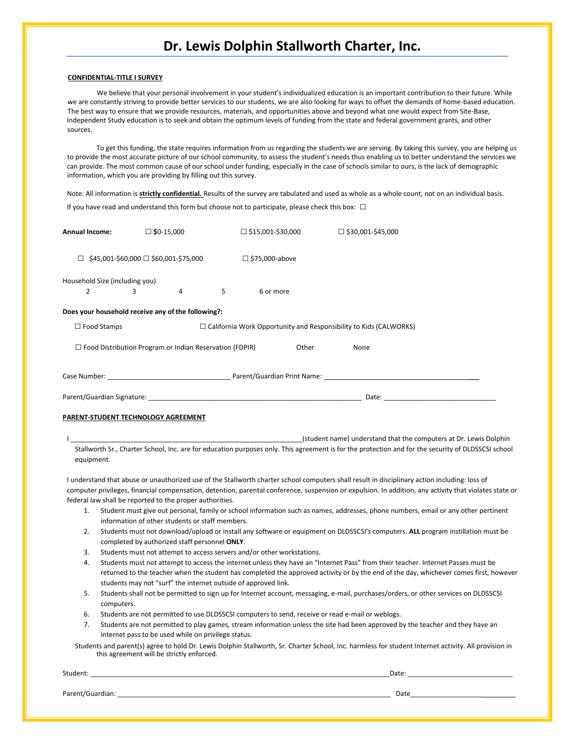#### **CONFIDENTIAL-TITLE I SURVEY**

We believe that your personal involvement in your student's individualized education is an important contribution to their future. While we are constantly striving to provide better services to our students, we are also looking for ways to offset the demands of home-based education. The best way to ensure that we provide resources, materials, and opportunities above and beyond what one would expect from Site-Base, Independent Study education is to seek and obtain the optimum levels of funding from the state and federal government grants, and other sources.

To get this funding, the state requires information from us regarding the students we are serving. By taking this survey, you are helping us to provide the most accurate picture of our school community, to assess the student's needs thus enabling us to better understand the services we can provide. The most common cause of our school under funding, especially in the case of schools similar to ours, is the lack of demographic information, which you are providing by filling out this survey.

Note: All information is **strictly confidential.** Results of the survey are tabulated and used as whole as a whole count, not on an individual basis. If you have read and understand this form but choose not to participate, please check this box:  $\Box$ 

| $\Box$ \$0-15,000<br><b>Annual Income:</b>                                                     |                                                                |                | $\Box$ \$15,001-\$30,000 |           |               | $\square$ \$30,001-\$45,000 |                                                                                                                                                    |
|------------------------------------------------------------------------------------------------|----------------------------------------------------------------|----------------|--------------------------|-----------|---------------|-----------------------------|----------------------------------------------------------------------------------------------------------------------------------------------------|
| \$45,001-\$60,000 □ \$60,001-\$75,000<br>$\Box$                                                |                                                                |                | $\Box$ \$75,000-above    |           |               |                             |                                                                                                                                                    |
| Household Size (including you)                                                                 |                                                                |                |                          |           |               |                             |                                                                                                                                                    |
| 2                                                                                              | $\sim$ 3                                                       | $\overline{a}$ | 5                        | 6 or more |               |                             |                                                                                                                                                    |
| Does your household receive any of the following?:                                             |                                                                |                |                          |           |               |                             |                                                                                                                                                    |
| $\Box$ Food Stamps<br>$\Box$ California Work Opportunity and Responsibility to Kids (CALWORKS) |                                                                |                |                          |           |               |                             |                                                                                                                                                    |
|                                                                                                | $\Box$ Food Distribution Program or Indian Reservation (FDPIR) |                |                          |           | Other<br>None |                             |                                                                                                                                                    |
|                                                                                                |                                                                |                |                          |           |               |                             |                                                                                                                                                    |
|                                                                                                |                                                                |                |                          |           |               |                             |                                                                                                                                                    |
| PARENT-STUDENT TECHNOLOGY AGREEMENT                                                            |                                                                |                |                          |           |               |                             |                                                                                                                                                    |
|                                                                                                |                                                                |                |                          |           |               |                             | (student name) understand that the computers at Dr. Lewis Dolphin                                                                                  |
| equipment.                                                                                     |                                                                |                |                          |           |               |                             | Stallworth Sr., Charter School, Inc. are for education purposes only. This agreement is for the protection and for the security of DLDSSCSI school |

I understand that abuse or unauthorized use of the Stallworth charter school computers shall result in disciplinary action including: loss of computer privileges, financial compensation, detention, parental conference, suspension or expulsion. In addition, any activity that violates state or federal law shall be reported to the proper authorities.

- 1. Student must give out personal, family or school information such as names, addresses, phone numbers, email or any other pertinent information of other students or staff members.
- 2. Students must not download/upload or install any software or equipment on DLDSSCSI's computers. **ALL** program instillation must be completed by authorized staff personnel **ONLY**.
- 3. Students must not attempt to access servers and/or other workstations.
- 4. Students must not attempt to access the internet unless they have an "Internet Pass" from their teacher. Internet Passes must be returned to the teacher when the student has completed the approved activity or by the end of the day, whichever comes first, however students may not "surf" the internet outside of approved link.
- 5. Students shall not be permitted to sign up for Internet account, messaging, e-mail, purchases/orders, or other services on DLDSSCSI computers.
- 6. Students are not permitted to use DLDSSCSI computers to send, receive or read e-mail or weblogs.
- 7. Students are not permitted to play games, stream information unless the site had been approved by the teacher and they have an internet pass to be used while on privilege status.
- Students and parent(s) agree to hold Dr. Lewis Dolphin Stallworth, Sr. Charter School, Inc. harmless for student Internet activity. All provision in this agreement will be strictly enforced.

Student: \_\_\_\_\_\_\_\_\_\_\_\_\_\_\_\_\_\_\_\_\_\_\_\_\_\_\_\_\_\_\_\_\_\_\_\_\_\_\_\_\_\_\_\_\_\_\_\_\_\_\_\_\_\_\_\_\_\_\_\_\_\_\_\_\_\_\_\_\_\_\_\_\_\_\_\_\_\_\_\_Date: \_\_\_\_\_\_\_\_\_\_\_\_\_\_\_\_\_\_\_\_\_\_\_\_\_\_\_\_

Parent/Guardian: \_\_\_\_\_\_\_\_\_\_\_\_\_\_\_\_\_\_\_\_\_\_\_\_\_\_\_\_\_\_\_\_\_\_\_\_\_\_\_\_\_\_\_\_\_\_\_\_\_\_\_\_\_\_\_\_\_\_\_\_\_\_\_\_\_\_\_\_\_\_\_\_\_ Date\_\_\_\_\_\_\_\_\_\_\_\_\_\_\_\_\_\_\_